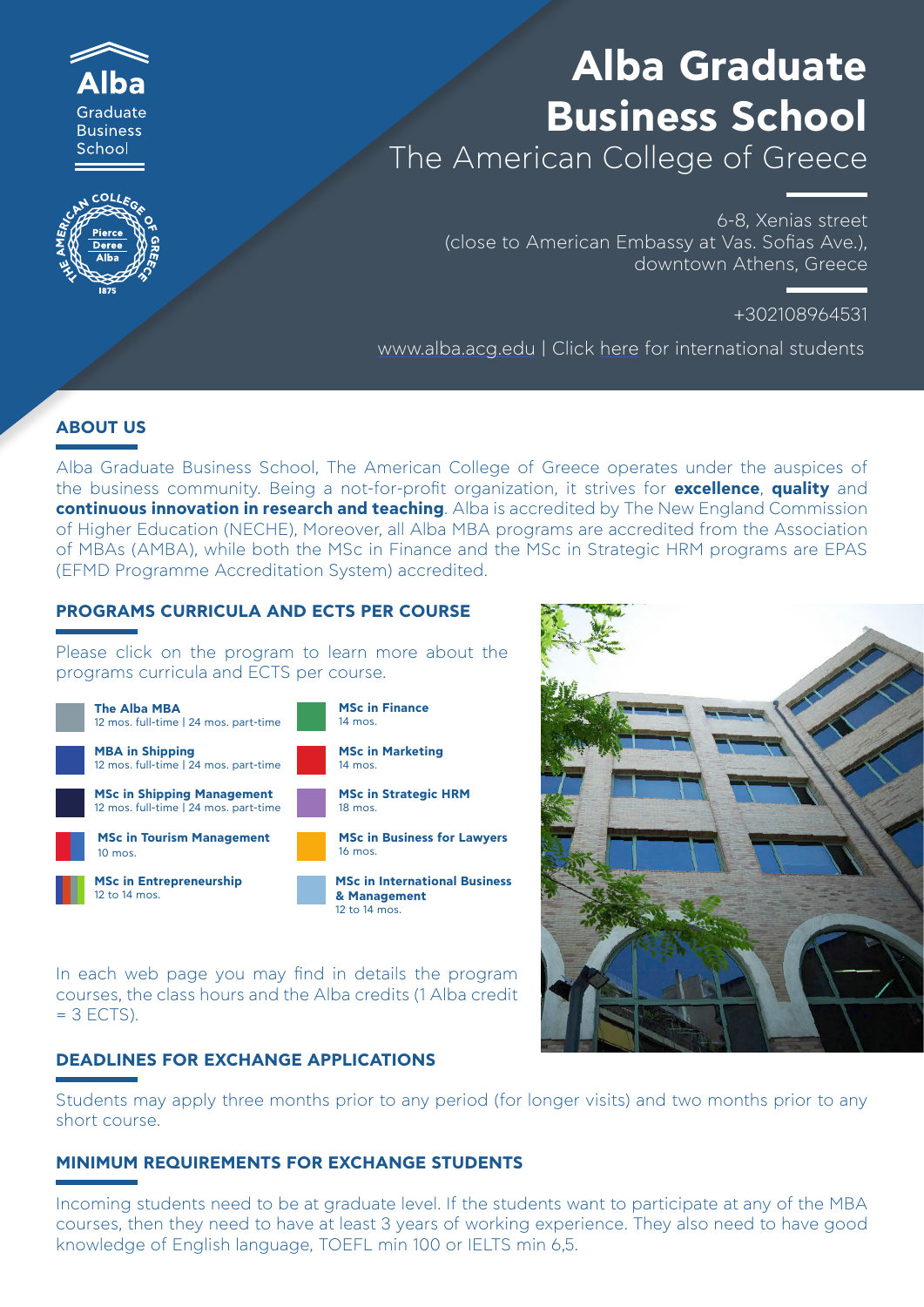



# **Alba Graduate Business School** The American College of Greece

6-8, Xenias street

(close to American Embassy at Vas. Sofias Ave.), downtown Athens, Greece

+302108964531

www.alba.acg.edu | Click here for international students

# **ABOUT US**

Alba Graduate Business School, The American College of Greece operates under the auspices of the business community. Being a not-for-profit organization, it strives for **excellence**, **quality** and **continuous innovation in research and teaching**. Alba is accredited by The New England Commission of Higher Education (NECHE), Moreover, all Alba MBA programs are accredited from the Association of MBAs (AMBA), while both the MSc in Finance and the MSc in Strategic HRM programs are EPAS (EFMD Programme Accreditation System) accredited.

### **PROGRAMS CURRICULA AND ECTS PER COURSE**

Please click on the program to learn more about the programs curricula and ECTS per course.



In each web page you may find in details the program courses, the class hours and the Alba credits (1 Alba credit  $= 3$  ECTS).

# **DEADLINES FOR EXCHANGE APPLICATIONS**

Students may apply three months prior to any period (for longer visits) and two months prior to any short course.

#### **MINIMUM REQUIREMENTS FOR EXCHANGE STUDENTS**

Incoming students need to be at graduate level. If the students want to participate at any of the MBA courses, then they need to have at least 3 years of working experience. They also need to have good knowledge of English language, TOEFL min 100 or IELTS min 6,5.